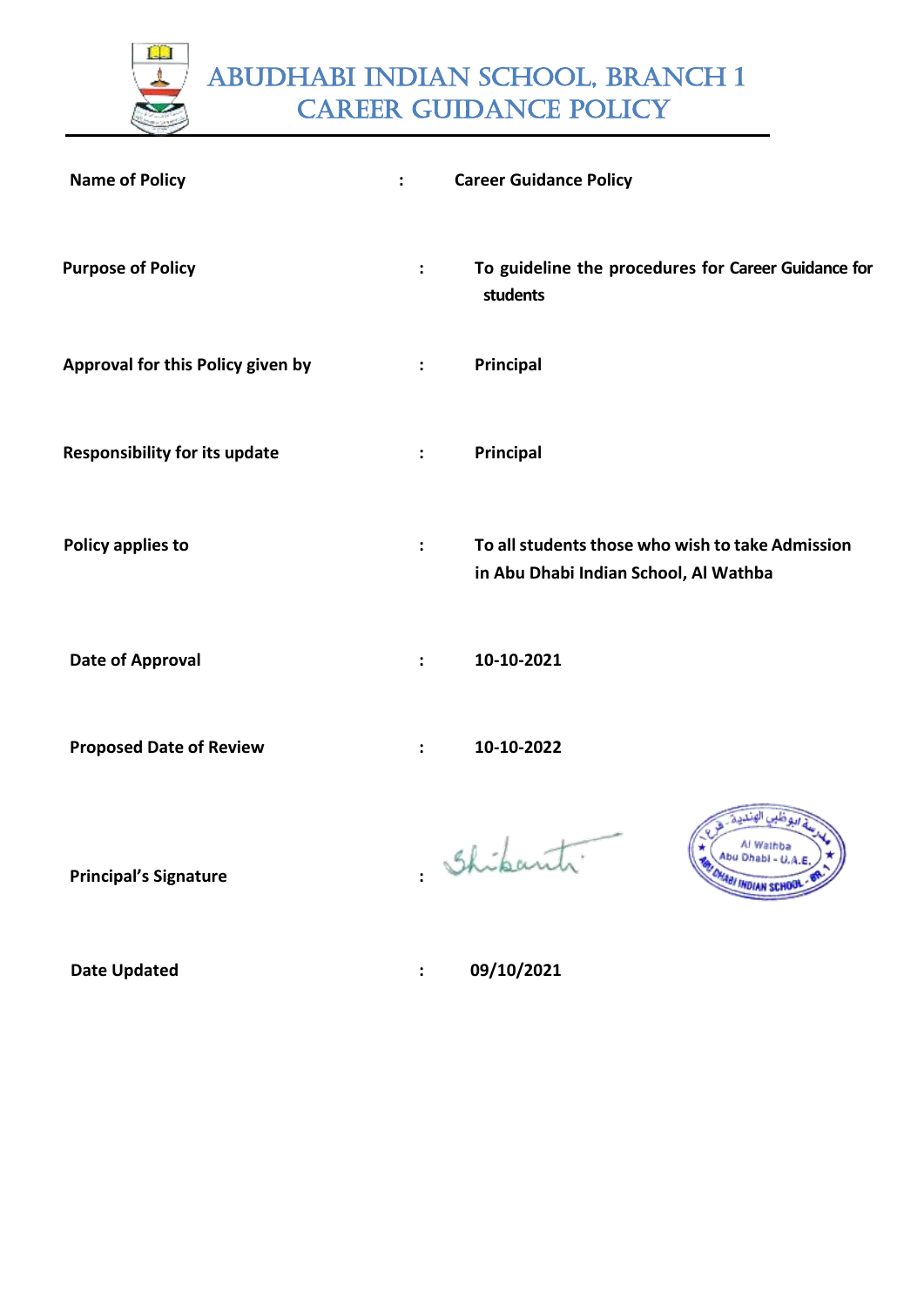ABUDHABI INDIAN SCHOOL, BRANCH 1

CAREER GUIDANCE POLICY

| <b>Name of Policy</b>                | $\ddot{\cdot}$       | <b>Career Guidance Policy</b>                                                             |
|--------------------------------------|----------------------|-------------------------------------------------------------------------------------------|
| <b>Purpose of Policy</b>             | $\ddot{\cdot}$       | To guideline the procedures for Career Guidance for<br>students                           |
| Approval for this Policy given by    | $\ddot{\cdot}$       | Principal                                                                                 |
| <b>Responsibility for its update</b> | $\ddot{\cdot}$       | Principal                                                                                 |
| Policy applies to                    | $\ddot{\cdot}$       | To all students those who wish to take Admission<br>in Abu Dhabi Indian School, Al Wathba |
| <b>Date of Approval</b>              |                      | 10-10-2021                                                                                |
| <b>Proposed Date of Review</b>       | $\ddot{\phantom{a}}$ | 10-10-2022                                                                                |
|                                      |                      | $\sim$ 0 $-$                                                                              |

Œ

**Principal's Signature :** 



**Date Updated : 09/10/2021**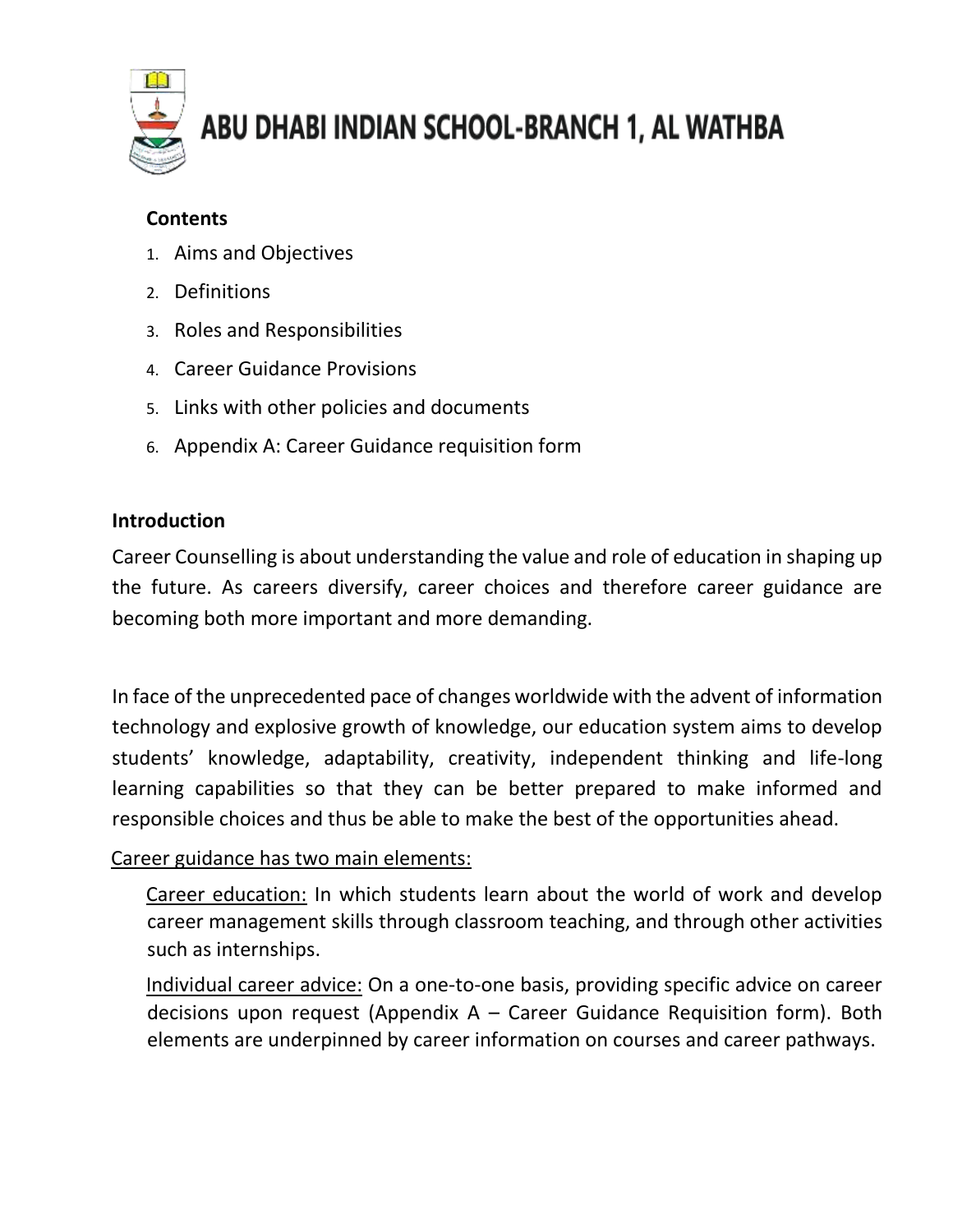

# ABU DHABI INDIAN SCHOOL-BRANCH 1, AL WATHBA

# **Contents**

- 1. Aims and Objectives
- 2. Definitions
- 3. Roles and Responsibilities
- 4. Career Guidance Provisions
- 5. Links with other policies and documents
- 6. Appendix A: Career Guidance requisition form

# **Introduction**

Career Counselling is about understanding the value and role of education in shaping up the future. As careers diversify, career choices and therefore career guidance are becoming both more important and more demanding.

In face of the unprecedented pace of changes worldwide with the advent of information technology and explosive growth of knowledge, our education system aims to develop students' knowledge, adaptability, creativity, independent thinking and life-long learning capabilities so that they can be better prepared to make informed and responsible choices and thus be able to make the best of the opportunities ahead.

## Career guidance has two main elements:

Career education: In which students learn about the world of work and develop career management skills through classroom teaching, and through other activities such as internships.

Individual career advice: On a one-to-one basis, providing specific advice on career decisions upon request (Appendix A – Career Guidance Requisition form). Both elements are underpinned by career information on courses and career pathways.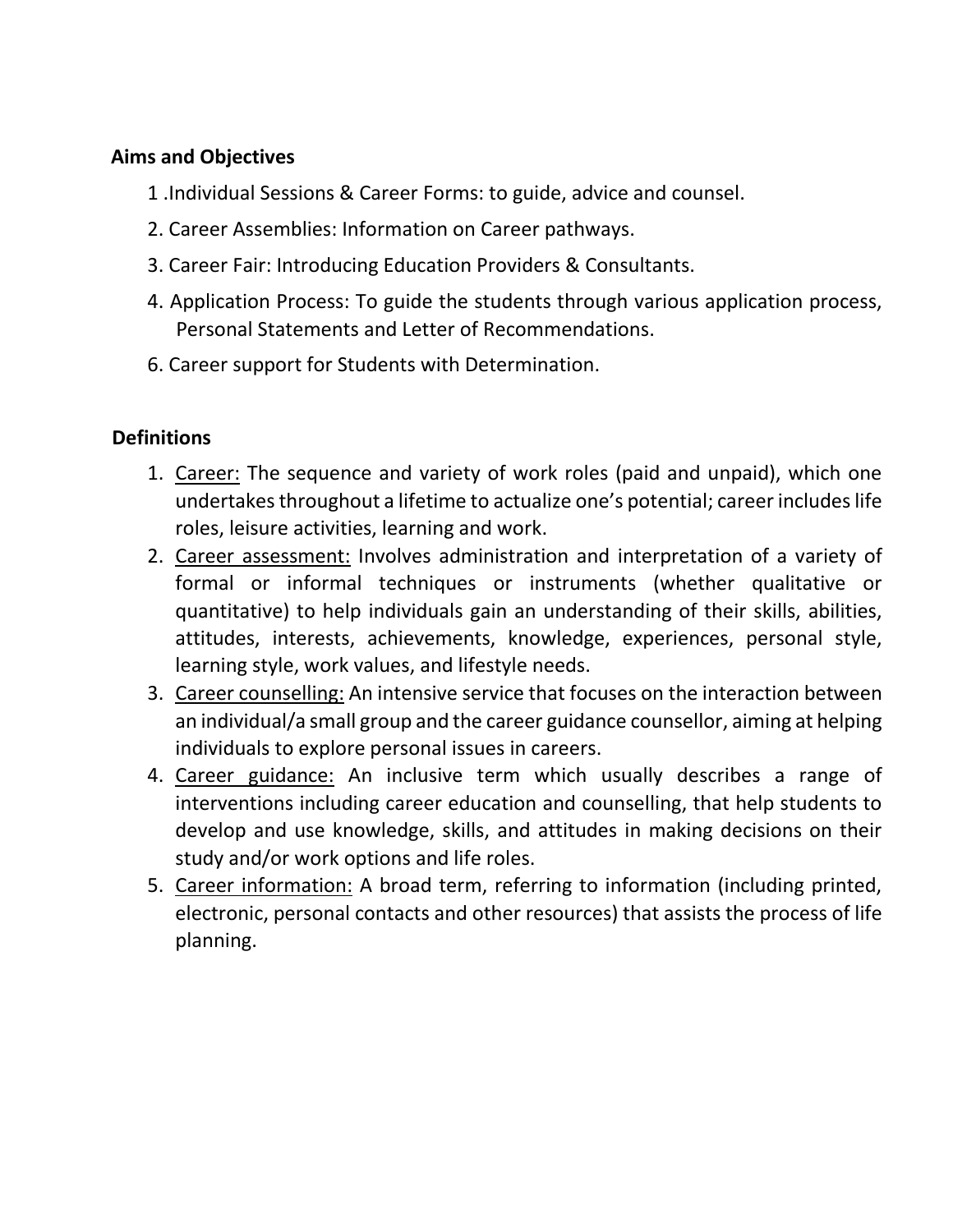## **Aims and Objectives**

- 1 .Individual Sessions & Career Forms: to guide, advice and counsel.
- 2. Career Assemblies: Information on Career pathways.
- 3. Career Fair: Introducing Education Providers & Consultants.
- 4. Application Process: To guide the students through various application process, Personal Statements and Letter of Recommendations.
- 6. Career support for Students with Determination.

## **Definitions**

- 1. Career: The sequence and variety of work roles (paid and unpaid), which one undertakes throughout a lifetime to actualize one's potential; career includes life roles, leisure activities, learning and work.
- 2. Career assessment: Involves administration and interpretation of a variety of formal or informal techniques or instruments (whether qualitative or quantitative) to help individuals gain an understanding of their skills, abilities, attitudes, interests, achievements, knowledge, experiences, personal style, learning style, work values, and lifestyle needs.
- 3. Career counselling: An intensive service that focuses on the interaction between an individual/a small group and the career guidance counsellor, aiming at helping individuals to explore personal issues in careers.
- 4. Career guidance: An inclusive term which usually describes a range of interventions including career education and counselling, that help students to develop and use knowledge, skills, and attitudes in making decisions on their study and/or work options and life roles.
- 5. Career information: A broad term, referring to information (including printed, electronic, personal contacts and other resources) that assists the process of life planning.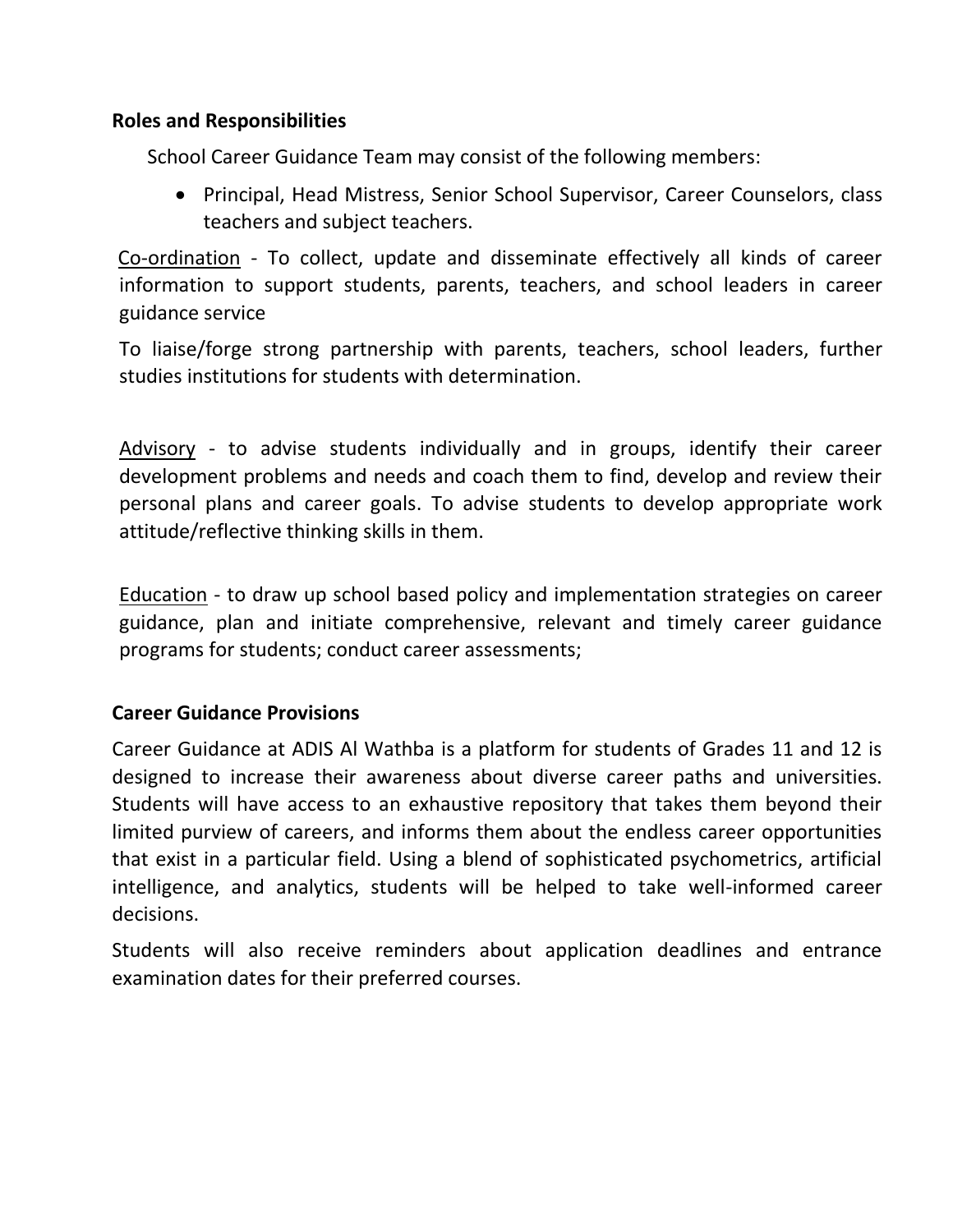#### **Roles and Responsibilities**

School Career Guidance Team may consist of the following members:

• Principal, Head Mistress, Senior School Supervisor, Career Counselors, class teachers and subject teachers.

Co-ordination - To collect, update and disseminate effectively all kinds of career information to support students, parents, teachers, and school leaders in career guidance service

To liaise/forge strong partnership with parents, teachers, school leaders, further studies institutions for students with determination.

Advisory - to advise students individually and in groups, identify their career development problems and needs and coach them to find, develop and review their personal plans and career goals. To advise students to develop appropriate work attitude/reflective thinking skills in them.

Education - to draw up school based policy and implementation strategies on career guidance, plan and initiate comprehensive, relevant and timely career guidance programs for students; conduct career assessments;

#### **Career Guidance Provisions**

Career Guidance at ADIS Al Wathba is a platform for students of Grades 11 and 12 is designed to increase their awareness about diverse career paths and universities. Students will have access to an exhaustive repository that takes them beyond their limited purview of careers, and informs them about the endless career opportunities that exist in a particular field. Using a blend of sophisticated psychometrics, artificial intelligence, and analytics, students will be helped to take well-informed career decisions.

Students will also receive reminders about application deadlines and entrance examination dates for their preferred courses.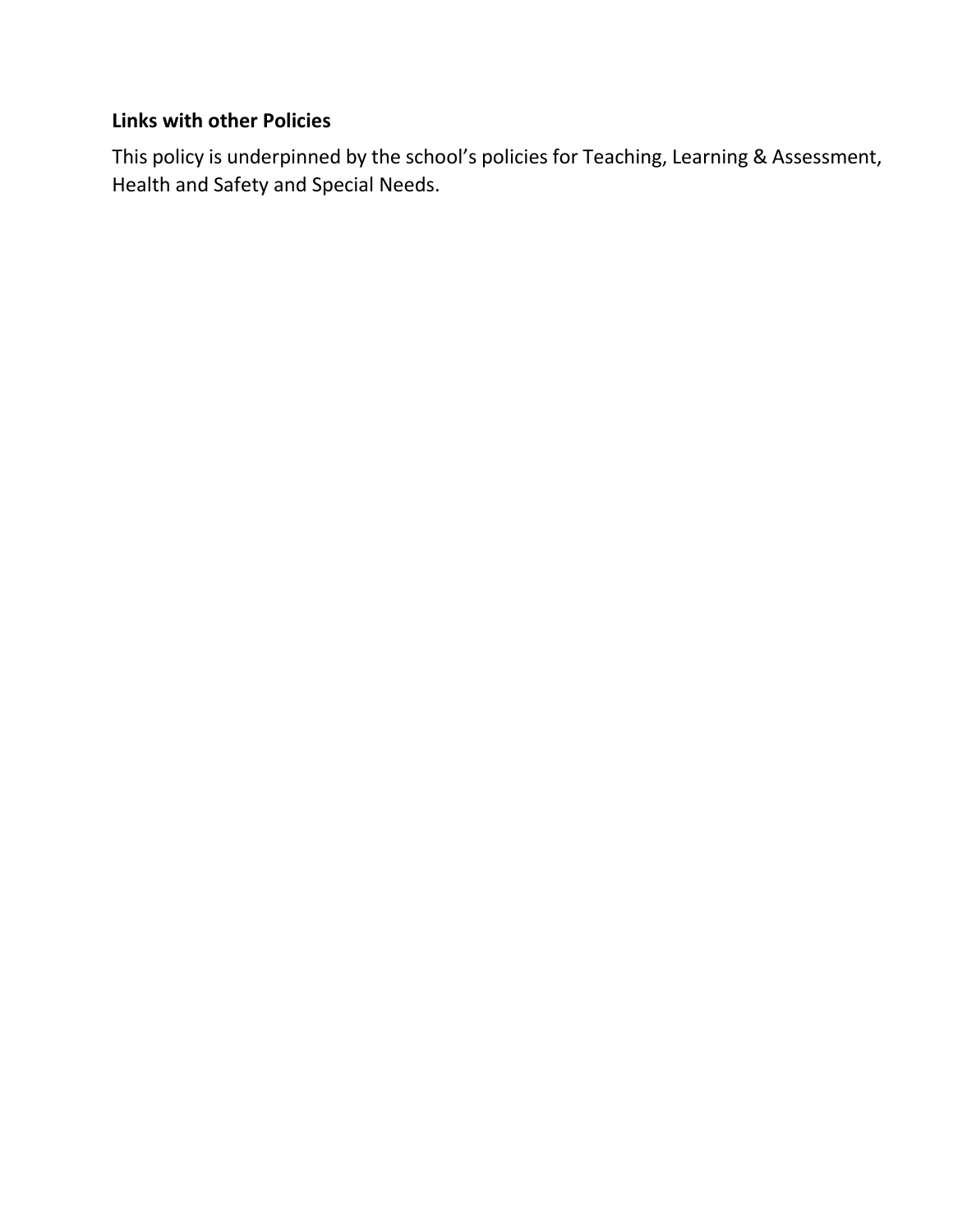## **Links with other Policies**

This policy is underpinned by the school's policies for Teaching, Learning & Assessment, Health and Safety and Special Needs.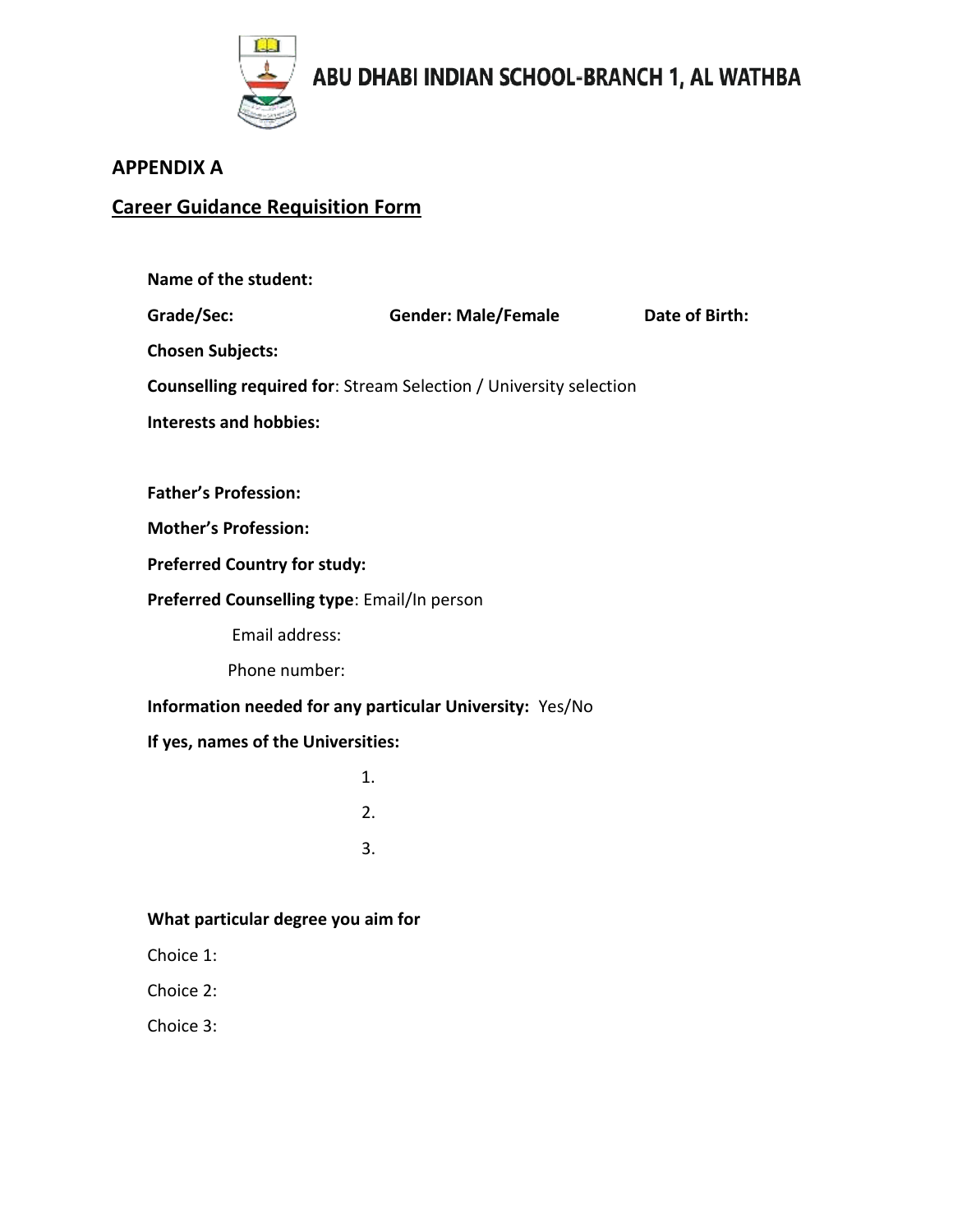

ABU DHABI INDIAN SCHOOL-BRANCH 1, AL WATHBA

#### **APPENDIX A**

# **Career Guidance Requisition Form**

| Name of the student:                        |                                                                          |                |
|---------------------------------------------|--------------------------------------------------------------------------|----------------|
| Grade/Sec:                                  | <b>Gender: Male/Female</b>                                               | Date of Birth: |
| <b>Chosen Subjects:</b>                     |                                                                          |                |
|                                             | <b>Counselling required for: Stream Selection / University selection</b> |                |
| <b>Interests and hobbies:</b>               |                                                                          |                |
|                                             |                                                                          |                |
| <b>Father's Profession:</b>                 |                                                                          |                |
| <b>Mother's Profession:</b>                 |                                                                          |                |
| <b>Preferred Country for study:</b>         |                                                                          |                |
| Preferred Counselling type: Email/In person |                                                                          |                |
| Email address:                              |                                                                          |                |
| Phone number:                               |                                                                          |                |
|                                             | Information needed for any particular University: Yes/No                 |                |
| If yes, names of the Universities:          |                                                                          |                |
|                                             | 1.                                                                       |                |
|                                             | 2.                                                                       |                |
|                                             | 3.                                                                       |                |
|                                             |                                                                          |                |

#### **What particular degree you aim for**

Choice 1:

Choice 2:

Choice 3: